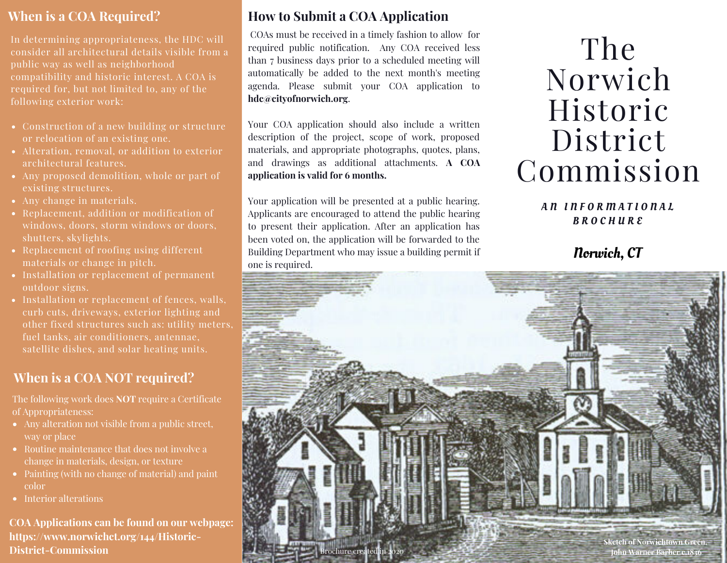#### **When is a COA Required?**

In determining appropriateness, the HDC will consider all architectural details visible from a public way as well as neighborhood compatibility and historic interest. A COA is required for, but not limited to, any of the following exterior work:

- Construction of a new building or structure or relocation of an existing one.
- Alteration, removal, or addition to exterior architectural features.
- Any proposed demolition, whole or part of existing structures.
- Any change in materials.
- Replacement, addition or modification of windows, doors, storm windows or doors, shutters, skylights.
- Replacement of roofing using different materials or change in pitch.
- Installation or replacement of permanent outdoor signs.
- Installation or replacement of fences, walls, curb cuts, driveways, exterior lighting and other fixed structures such as: utility meters, fuel tanks, air conditioners, antennae, satellite dishes, and solar heating units.

#### **When is a COA NOT required?**

The following work does **NOT** require a Certificate of Appropriateness:

- Any alteration not visible from a public street, way or place
- Routine maintenance that does not involve a change in materials, design, or texture
- Painting (with no change of material) and paint color
- Interior alterations

**COA Applications can be found on our webpage: https://www.norwichct.org/144/Historic-District-Commission**

#### **How to Submit a COA Application**

COAs must be received in a timely fashion to allow for required public notification. Any COA received less than 7 business days prior to a scheduled meeting will automatically be added to the next month's meeting agenda. Please submit your COA application to **hdc@cityofnorwich.org**.

Your COA application should also include a written description of the project, scope of work, proposed materials, and appropriate photographs, quotes, plans, and drawings as additional attachments. **A COA application is valid for 6 months.**

Your application will be presented at a public hearing. Applicants are encouraged to attend the public hearing to present their application. After an application has been voted on, the application will be forwarded to the Building Department who may issue a building permit if one is required.

# The Norwich Historic District Commission

#### AN INFORMATIONAL B R O C H U R E

#### Norwich, CT